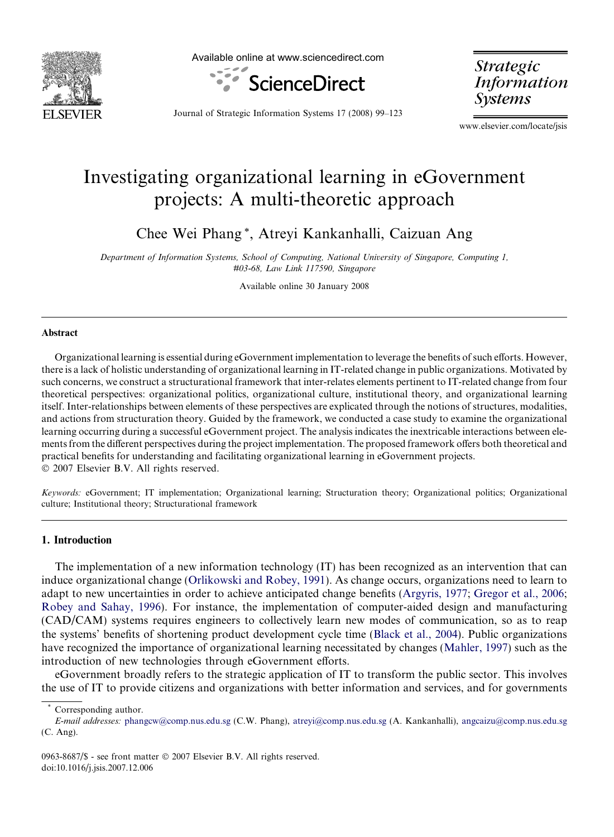

Available online at www.sciencedirect.com



**Strategic Information** Systems

Journal of Strategic Information Systems 17 (2008) 99–123

www.elsevier.com/locate/jsis

# Investigating organizational learning in eGovernment projects: A multi-theoretic approach

Chee Wei Phang \*, Atreyi Kankanhalli, Caizuan Ang

Department of Information Systems, School of Computing, National University of Singapore, Computing 1, #03-68, Law Link 117590, Singapore

Available online 30 January 2008

## Abstract

Organizational learning is essential during eGovernment implementation to leverage the benefits of such efforts. However, there is a lack of holistic understanding of organizational learning in IT-related change in public organizations. Motivated by such concerns, we construct a structurational framework that inter-relates elements pertinent to IT-related change from four theoretical perspectives: organizational politics, organizational culture, institutional theory, and organizational learning itself. Inter-relationships between elements of these perspectives are explicated through the notions of structures, modalities, and actions from structuration theory. Guided by the framework, we conducted a case study to examine the organizational learning occurring during a successful eGovernment project. The analysis indicates the inextricable interactions between elements from the different perspectives during the project implementation. The proposed framework offers both theoretical and practical benefits for understanding and facilitating organizational learning in eGovernment projects. © 2007 Elsevier B.V. All rights reserved.

Keywords: eGovernment; IT implementation; Organizational learning; Structuration theory; Organizational politics; Organizational culture; Institutional theory; Structurational framework

#### 1. Introduction

The implementation of a new information technology (IT) has been recognized as an intervention that can induce organizational change [\(Orlikowski and Robey, 1991\)](#page--1-0). As change occurs, organizations need to learn to adapt to new uncertainties in order to achieve anticipated change benefits [\(Argyris, 1977;](#page--1-0) [Gregor et al., 2006](#page--1-0); [Robey and Sahay, 1996\)](#page--1-0). For instance, the implementation of computer-aided design and manufacturing (CAD/CAM) systems requires engineers to collectively learn new modes of communication, so as to reap the systems' benefits of shortening product development cycle time [\(Black et al., 2004\)](#page--1-0). Public organizations have recognized the importance of organizational learning necessitated by changes ([Mahler, 1997](#page--1-0)) such as the introduction of new technologies through eGovernment efforts.

eGovernment broadly refers to the strategic application of IT to transform the public sector. This involves the use of IT to provide citizens and organizations with better information and services, and for governments

Corresponding author.

E-mail addresses: [phangcw@comp.nus.edu.sg](mailto:phangcw@comp.nus.edu.sg) (C.W. Phang), [atreyi@comp.nus.edu.sg](mailto:atreyi@comp.nus.edu.sg) (A. Kankanhalli), [angcaizu@comp.nus.edu.sg](mailto:angcaizu@comp.nus.edu.sg) (C. Ang).

<sup>0963-8687/\$ -</sup> see front matter © 2007 Elsevier B.V. All rights reserved. doi:10.1016/j.jsis.2007.12.006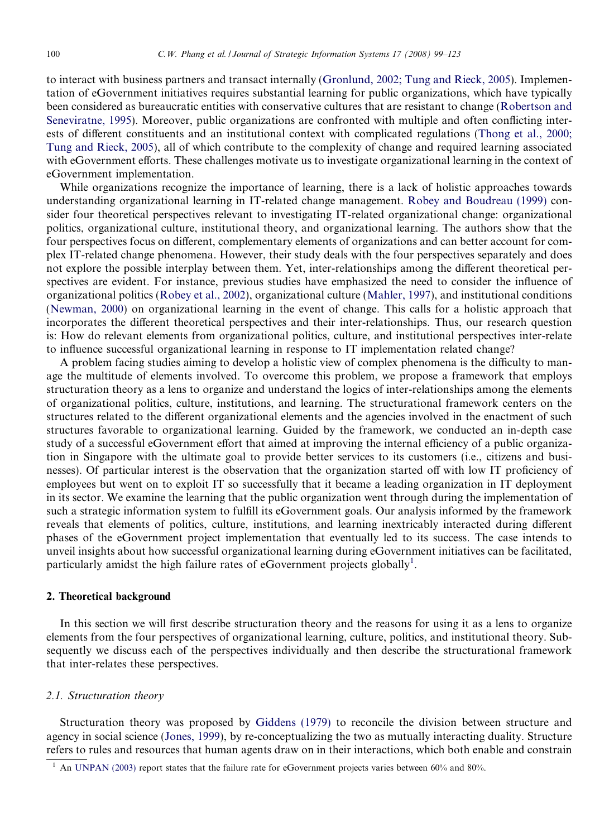to interact with business partners and transact internally [\(Gronlund, 2002; Tung and Rieck, 2005\)](#page--1-0). Implementation of eGovernment initiatives requires substantial learning for public organizations, which have typically been considered as bureaucratic entities with conservative cultures that are resistant to change ([Robertson and](#page--1-0) [Seneviratne, 1995\)](#page--1-0). Moreover, public organizations are confronted with multiple and often conflicting interests of different constituents and an institutional context with complicated regulations [\(Thong et al., 2000;](#page--1-0) [Tung and Rieck, 2005](#page--1-0)), all of which contribute to the complexity of change and required learning associated with eGovernment efforts. These challenges motivate us to investigate organizational learning in the context of eGovernment implementation.

While organizations recognize the importance of learning, there is a lack of holistic approaches towards understanding organizational learning in IT-related change management. [Robey and Boudreau \(1999\)](#page--1-0) consider four theoretical perspectives relevant to investigating IT-related organizational change: organizational politics, organizational culture, institutional theory, and organizational learning. The authors show that the four perspectives focus on different, complementary elements of organizations and can better account for complex IT-related change phenomena. However, their study deals with the four perspectives separately and does not explore the possible interplay between them. Yet, inter-relationships among the different theoretical perspectives are evident. For instance, previous studies have emphasized the need to consider the influence of organizational politics ([Robey et al., 2002\)](#page--1-0), organizational culture ([Mahler, 1997\)](#page--1-0), and institutional conditions ([Newman, 2000\)](#page--1-0) on organizational learning in the event of change. This calls for a holistic approach that incorporates the different theoretical perspectives and their inter-relationships. Thus, our research question is: How do relevant elements from organizational politics, culture, and institutional perspectives inter-relate to influence successful organizational learning in response to IT implementation related change?

A problem facing studies aiming to develop a holistic view of complex phenomena is the difficulty to manage the multitude of elements involved. To overcome this problem, we propose a framework that employs structuration theory as a lens to organize and understand the logics of inter-relationships among the elements of organizational politics, culture, institutions, and learning. The structurational framework centers on the structures related to the different organizational elements and the agencies involved in the enactment of such structures favorable to organizational learning. Guided by the framework, we conducted an in-depth case study of a successful eGovernment effort that aimed at improving the internal efficiency of a public organization in Singapore with the ultimate goal to provide better services to its customers (i.e., citizens and businesses). Of particular interest is the observation that the organization started off with low IT proficiency of employees but went on to exploit IT so successfully that it became a leading organization in IT deployment in its sector. We examine the learning that the public organization went through during the implementation of such a strategic information system to fulfill its eGovernment goals. Our analysis informed by the framework reveals that elements of politics, culture, institutions, and learning inextricably interacted during different phases of the eGovernment project implementation that eventually led to its success. The case intends to unveil insights about how successful organizational learning during eGovernment initiatives can be facilitated, particularly amidst the high failure rates of eGovernment projects globally<sup>1</sup>.

## 2. Theoretical background

In this section we will first describe structuration theory and the reasons for using it as a lens to organize elements from the four perspectives of organizational learning, culture, politics, and institutional theory. Subsequently we discuss each of the perspectives individually and then describe the structurational framework that inter-relates these perspectives.

#### 2.1. Structuration theory

Structuration theory was proposed by [Giddens \(1979\)](#page--1-0) to reconcile the division between structure and agency in social science [\(Jones, 1999](#page--1-0)), by re-conceptualizing the two as mutually interacting duality. Structure refers to rules and resources that human agents draw on in their interactions, which both enable and constrain

 $1$  An [UNPAN \(2003\)](#page--1-0) report states that the failure rate for eGovernment projects varies between 60% and 80%.